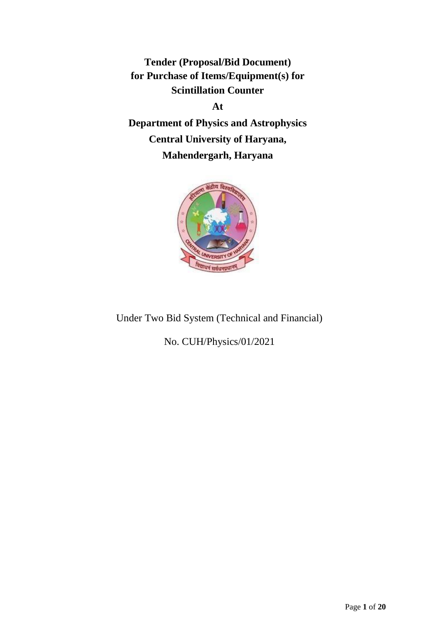**Tender (Proposal/Bid Document) for Purchase of Items/Equipment(s) for Scintillation Counter** 

**At**

**Department of Physics and Astrophysics Central University of Haryana, Mahendergarh, Haryana**



Under Two Bid System (Technical and Financial)

No. CUH/Physics/01/2021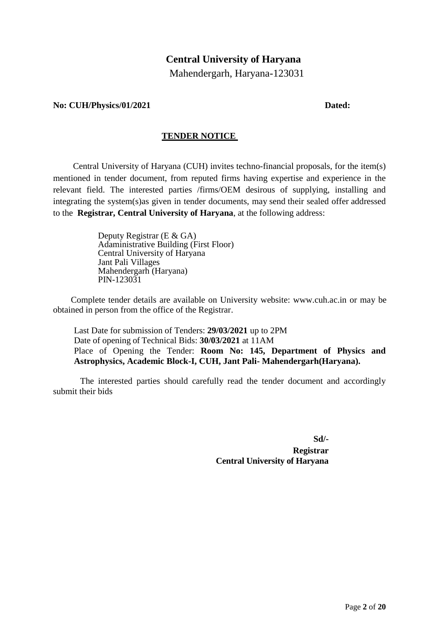# **Central University of Haryana**

Mahendergarh, Haryana-123031

#### **No: CUH/Physics/01/2021 Dated:**

#### **TENDER NOTICE**

Central University of Haryana (CUH) invites techno-financial proposals, for the item(s) mentioned in tender document, from reputed firms having expertise and experience in the relevant field. The interested parties /firms/OEM desirous of supplying, installing and integrating the system(s)as given in tender documents, may send their sealed offer addressed to the **Registrar, Central University of Haryana**, at the following address:

> Deputy Registrar (E & GA) Adaministrative Building (First Floor) Central University of Haryana Jant Pali Villages Mahendergarh (Haryana) PIN-123031

Complete tender details are available on University website: [www.cuh.ac.in](http://www.cuh.ac.in/) or may be obtained in person from the office of the Registrar.

Last Date for submission of Tenders: **29/03/2021** up to 2PM Date of opening of Technical Bids: **30/03/2021** at 11AM Place of Opening the Tender: **Room No: 145, Department of Physics and Astrophysics, Academic Block-I, CUH, Jant Pali- Mahendergarh(Haryana).**

The interested parties should carefully read the tender document and accordingly submit their bids

**Sd/-**

**Registrar Central University of Haryana**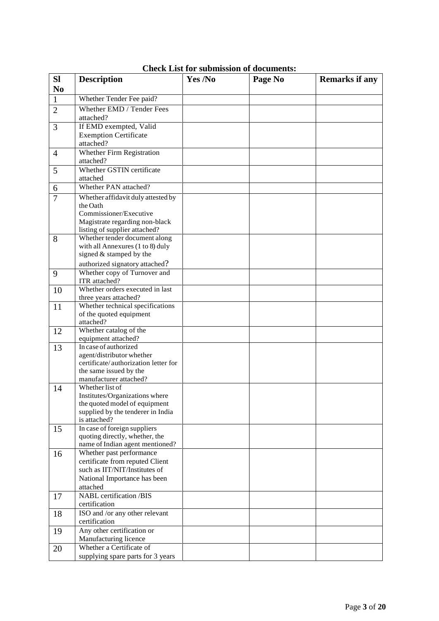| <b>Sl</b>      | <b>Description</b>                                                | Yes /No | Page No | <b>Remarks if any</b> |
|----------------|-------------------------------------------------------------------|---------|---------|-----------------------|
| N <sub>0</sub> |                                                                   |         |         |                       |
| $\mathbf{1}$   | Whether Tender Fee paid?                                          |         |         |                       |
| $\overline{2}$ | Whether EMD / Tender Fees                                         |         |         |                       |
|                | attached?                                                         |         |         |                       |
| 3              | If EMD exempted, Valid                                            |         |         |                       |
|                | <b>Exemption Certificate</b>                                      |         |         |                       |
|                | attached?                                                         |         |         |                       |
| $\overline{4}$ | <b>Whether Firm Registration</b>                                  |         |         |                       |
| 5              | attached?<br>Whether GSTIN certificate                            |         |         |                       |
|                | attached                                                          |         |         |                       |
| 6              | Whether PAN attached?                                             |         |         |                       |
| $\overline{7}$ | Whether affidavit duly attested by                                |         |         |                       |
|                | the Oath                                                          |         |         |                       |
|                | Commissioner/Executive                                            |         |         |                       |
|                | Magistrate regarding non-black                                    |         |         |                       |
|                | listing of supplier attached?<br>Whether tender document along    |         |         |                       |
| 8              | with all Annexures (1 to 8) duly                                  |         |         |                       |
|                | signed & stamped by the                                           |         |         |                       |
|                | authorized signatory attached?                                    |         |         |                       |
| 9              | Whether copy of Turnover and                                      |         |         |                       |
|                | ITR attached?                                                     |         |         |                       |
| 10             | Whether orders executed in last                                   |         |         |                       |
|                | three years attached?<br>Whether technical specifications         |         |         |                       |
| 11             | of the quoted equipment                                           |         |         |                       |
|                | attached?                                                         |         |         |                       |
| 12             | Whether catalog of the                                            |         |         |                       |
|                | equipment attached?                                               |         |         |                       |
| 13             | In case of authorized<br>agent/distributor whether                |         |         |                       |
|                | certificate/authorization letter for                              |         |         |                       |
|                | the same issued by the                                            |         |         |                       |
|                | manufacturer attached?                                            |         |         |                       |
| 14             | Whether list of<br>Institutes/Organizations where                 |         |         |                       |
|                | the quoted model of equipment                                     |         |         |                       |
|                | supplied by the tenderer in India                                 |         |         |                       |
|                | is attached?                                                      |         |         |                       |
| 15             | In case of foreign suppliers                                      |         |         |                       |
|                | quoting directly, whether, the<br>name of Indian agent mentioned? |         |         |                       |
| 16             | Whether past performance                                          |         |         |                       |
|                | certificate from reputed Client                                   |         |         |                       |
|                | such as IIT/NIT/Institutes of                                     |         |         |                       |
|                | National Importance has been                                      |         |         |                       |
|                | attached                                                          |         |         |                       |
| 17             | <b>NABL</b> certification /BIS                                    |         |         |                       |
|                | certification<br>ISO and /or any other relevant                   |         |         |                       |
| 18             | certification                                                     |         |         |                       |
| 19             | Any other certification or                                        |         |         |                       |
|                | Manufacturing licence                                             |         |         |                       |
| 20             | Whether a Certificate of                                          |         |         |                       |
|                | supplying spare parts for 3 years                                 |         |         |                       |

**Check List for submission of documents:**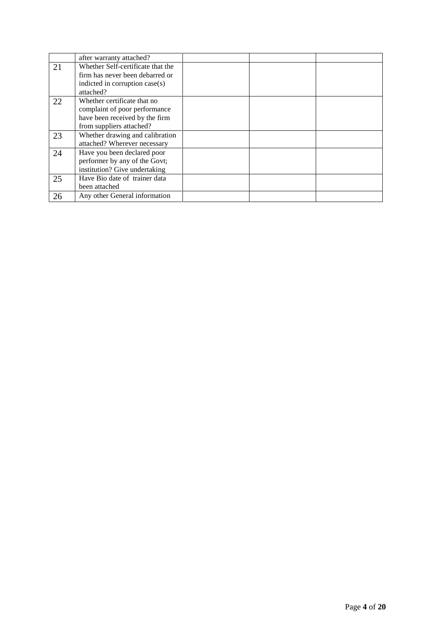|    | after warranty attached?          |  |  |
|----|-----------------------------------|--|--|
| 21 | Whether Self-certificate that the |  |  |
|    | firm has never been debarred or   |  |  |
|    | indicted in corruption case(s)    |  |  |
|    | attached?                         |  |  |
| 22 | Whether certificate that no       |  |  |
|    | complaint of poor performance     |  |  |
|    | have been received by the firm    |  |  |
|    | from suppliers attached?          |  |  |
| 23 | Whether drawing and calibration   |  |  |
|    | attached? Wherever necessary      |  |  |
| 24 | Have you been declared poor       |  |  |
|    | performer by any of the Govt;     |  |  |
|    | institution? Give undertaking     |  |  |
| 25 | Have Bio date of trainer data     |  |  |
|    | been attached                     |  |  |
| 26 | Any other General information     |  |  |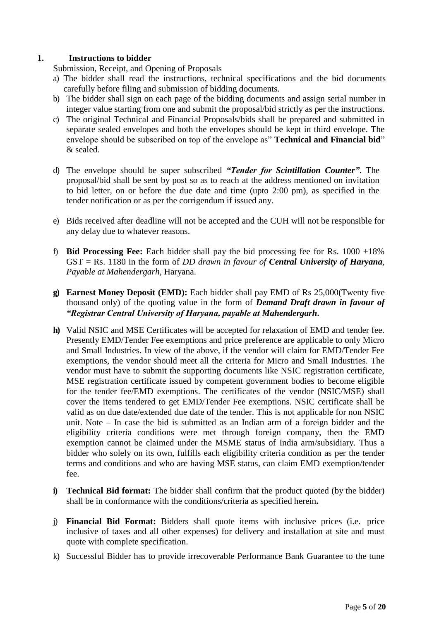# **1. Instructions to bidder**

Submission, Receipt, and Opening of Proposals

- a) The bidder shall read the instructions, technical specifications and the bid documents carefully before filing and submission of bidding documents.
- b) The bidder shall sign on each page of the bidding documents and assign serial number in integer value starting from one and submit the proposal/bid strictly as per the instructions.
- c) The original Technical and Financial Proposals/bids shall be prepared and submitted in separate sealed envelopes and both the envelopes should be kept in third envelope. The envelope should be subscribed on top of the envelope as" **Technical and Financial bid**" & sealed.
- d) The envelope should be super subscribed *"Tender for Scintillation Counter"*. The proposal/bid shall be sent by post so as to reach at the address mentioned on invitation to bid letter, on or before the due date and time (upto 2:00 pm), as specified in the tender notification or as per the corrigendum if issued any.
- e) Bids received after deadline will not be accepted and the CUH will not be responsible for any delay due to whatever reasons.
- f) **Bid Processing Fee:** Each bidder shall pay the bid processing fee for Rs. 1000 +18% GST = Rs. 1180 in the form of *DD drawn in favour of Central University of Haryana, Payable at Mahendergarh*, Haryana.
- **g) Earnest Money Deposit (EMD):** Each bidder shall pay EMD of Rs 25,000(Twenty five thousand only) of the quoting value in the form of *Demand Draft drawn in favour of "Registrar Central University of Haryana, payable at Mahendergarh***.**
- **h)** Valid NSIC and MSE Certificates will be accepted for relaxation of EMD and tender fee. Presently EMD/Tender Fee exemptions and price preference are applicable to only Micro and Small Industries. In view of the above, if the vendor will claim for EMD/Tender Fee exemptions, the vendor should meet all the criteria for Micro and Small Industries. The vendor must have to submit the supporting documents like NSIC registration certificate, MSE registration certificate issued by competent government bodies to become eligible for the tender fee/EMD exemptions. The certificates of the vendor (NSIC/MSE) shall cover the items tendered to get EMD/Tender Fee exemptions. NSIC certificate shall be valid as on due date/extended due date of the tender. This is not applicable for non NSIC unit. Note – In case the bid is submitted as an Indian arm of a foreign bidder and the eligibility criteria conditions were met through foreign company, then the EMD exemption cannot be claimed under the MSME status of India arm/subsidiary. Thus a bidder who solely on its own, fulfills each eligibility criteria condition as per the tender terms and conditions and who are having MSE status, can claim EMD exemption/tender fee.
- **i) Technical Bid format:** The bidder shall confirm that the product quoted (by the bidder) shall be in conformance with the conditions/criteria as specified herein**.**
- j) **Financial Bid Format:** Bidders shall quote items with inclusive prices (i.e. price inclusive of taxes and all other expenses) for delivery and installation at site and must quote with complete specification.
- k) Successful Bidder has to provide irrecoverable Performance Bank Guarantee to the tune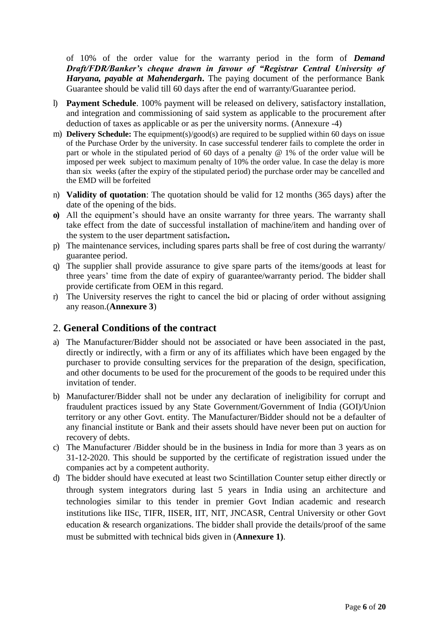of 10% of the order value for the warranty period in the form of *Demand Draft/FDR/Banker's cheque drawn in favour of "Registrar Central University of Haryana, payable at Mahendergarh***.** The paying document of the performance Bank Guarantee should be valid till 60 days after the end of warranty/Guarantee period.

- l) **Payment Schedule**. 100% payment will be released on delivery, satisfactory installation, and integration and commissioning of said system as applicable to the procurement after deduction of taxes as applicable or as per the university norms. (Annexure -4)
- m) **Delivery Schedule:** The equipment(s)/good(s) are required to be supplied within 60 days on issue of the Purchase Order by the university. In case successful tenderer fails to complete the order in part or whole in the stipulated period of 60 days of a penalty @ 1% of the order value will be imposed per week subject to maximum penalty of 10% the order value. In case the delay is more than six weeks (after the expiry of the stipulated period) the purchase order may be cancelled and the EMD will be forfeited
- n) **Validity of quotation**: The quotation should be valid for 12 months (365 days) after the date of the opening of the bids.
- **o)** All the equipment's should have an onsite warranty for three years. The warranty shall take effect from the date of successful installation of machine/item and handing over of the system to the user department satisfaction**.**
- p) The maintenance services, including spares parts shall be free of cost during the warranty/ guarantee period.
- q) The supplier shall provide assurance to give spare parts of the items/goods at least for three years' time from the date of expiry of guarantee/warranty period. The bidder shall provide certificate from OEM in this regard.
- r) The University reserves the right to cancel the bid or placing of order without assigning any reason.(**Annexure 3**)

# 2. **General Conditions of the contract**

- a) The Manufacturer/Bidder should not be associated or have been associated in the past, directly or indirectly, with a firm or any of its affiliates which have been engaged by the purchaser to provide consulting services for the preparation of the design, specification, and other documents to be used for the procurement of the goods to be required under this invitation of tender.
- b) Manufacturer/Bidder shall not be under any declaration of ineligibility for corrupt and fraudulent practices issued by any State Government/Government of India (GOI)/Union territory or any other Govt. entity. The Manufacturer/Bidder should not be a defaulter of any financial institute or Bank and their assets should have never been put on auction for recovery of debts.
- c) The Manufacturer /Bidder should be in the business in India for more than 3 years as on 31-12-2020. This should be supported by the certificate of registration issued under the companies act by a competent authority.
- d) The bidder should have executed at least two Scintillation Counter setup either directly or through system integrators during last 5 years in India using an architecture and technologies similar to this tender in premier Govt Indian academic and research institutions like IISc, TIFR, IISER, IIT, NIT, JNCASR, Central University or other Govt education & research organizations. The bidder shall provide the details/proof of the same must be submitted with technical bids given in (**Annexure 1)**.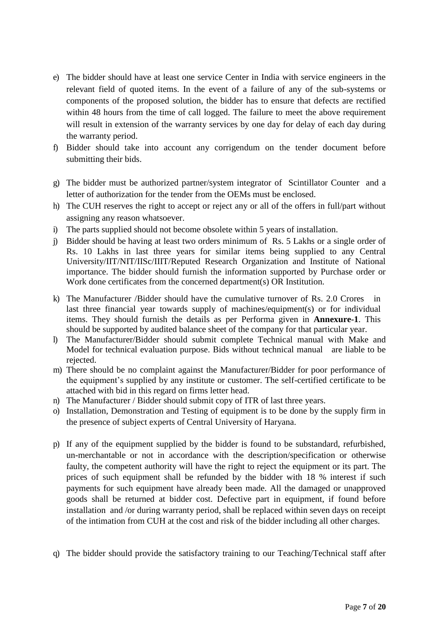- e) The bidder should have at least one service Center in India with service engineers in the relevant field of quoted items. In the event of a failure of any of the sub-systems or components of the proposed solution, the bidder has to ensure that defects are rectified within 48 hours from the time of call logged. The failure to meet the above requirement will result in extension of the warranty services by one day for delay of each day during the warranty period.
- f) Bidder should take into account any corrigendum on the tender document before submitting their bids.
- g) The bidder must be authorized partner/system integrator of Scintillator Counter and a letter of authorization for the tender from the OEMs must be enclosed.
- h) The CUH reserves the right to accept or reject any or all of the offers in full/part without assigning any reason whatsoever.
- i) The parts supplied should not become obsolete within 5 years of installation.
- j) Bidder should be having at least two orders minimum of Rs. 5 Lakhs or a single order of Rs. 10 Lakhs in last three years for similar items being supplied to any Central University/IIT/NIT/IISc/IIIT/Reputed Research Organization and Institute of National importance. The bidder should furnish the information supported by Purchase order or Work done certificates from the concerned department(s) OR Institution.
- k) The Manufacturer /Bidder should have the cumulative turnover of Rs. 2.0 Crores in last three financial year towards supply of machines/equipment(s) or for individual items. They should furnish the details as per Performa given in **Annexure-1**. This should be supported by audited balance sheet of the company for that particular year.
- l) The Manufacturer/Bidder should submit complete Technical manual with Make and Model for technical evaluation purpose. Bids without technical manual are liable to be rejected.
- m) There should be no complaint against the Manufacturer/Bidder for poor performance of the equipment's supplied by any institute or customer. The self-certified certificate to be attached with bid in this regard on firms letter head.
- n) The Manufacturer / Bidder should submit copy of ITR of last three years.
- o) Installation, Demonstration and Testing of equipment is to be done by the supply firm in the presence of subject experts of Central University of Haryana.
- p) If any of the equipment supplied by the bidder is found to be substandard, refurbished, un-merchantable or not in accordance with the description/specification or otherwise faulty, the competent authority will have the right to reject the equipment or its part. The prices of such equipment shall be refunded by the bidder with 18 % interest if such payments for such equipment have already been made. All the damaged or unapproved goods shall be returned at bidder cost. Defective part in equipment, if found before installation and /or during warranty period, shall be replaced within seven days on receipt of the intimation from CUH at the cost and risk of the bidder including all other charges.
- q) The bidder should provide the satisfactory training to our Teaching/Technical staff after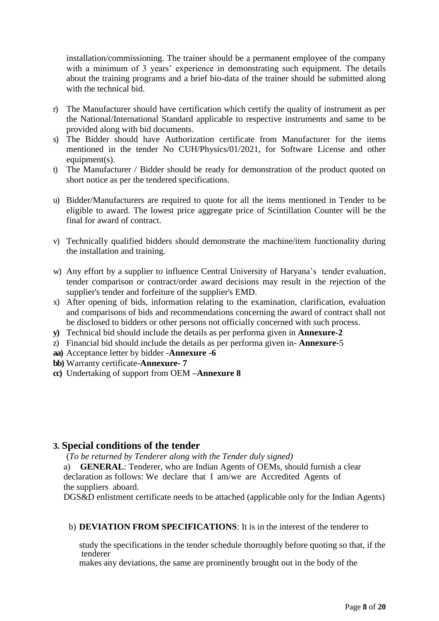installation/commissioning. The trainer should be a permanent employee of the company with a minimum of 3 years' experience in demonstrating such equipment. The details about the training programs and a brief bio-data of the trainer should be submitted along with the technical bid.

- r) The Manufacturer should have certification which certify the quality of instrument as per the National/International Standard applicable to respective instruments and same to be provided along with bid documents.
- s) The Bidder should have Authorization certificate from Manufacturer for the items mentioned in the tender No CUH/Physics/01/2021, for Software License and other  $equiment(s)$ .
- t) The Manufacturer / Bidder should be ready for demonstration of the product quoted on short notice as per the tendered specifications.
- u) Bidder/Manufacturers are required to quote for all the items mentioned in Tender to be eligible to award. The lowest price aggregate price of Scintillation Counter will be the final for award of contract.
- v) Technically qualified bidders should demonstrate the machine/item functionality during the installation and training.
- w) Any effort by a supplier to influence Central University of Haryana's tender evaluation, tender comparison or contract/order award decisions may result in the rejection of the supplier's tender and forfeiture of the supplier's EMD.
- x) After opening of bids, information relating to the examination, clarification, evaluation and comparisons of bids and recommendations concerning the award of contract shall not be disclosed to bidders or other persons not officially concerned with such process.
- **y)** Technical bid should include the details as per performa given in **Annexure-2**
- z) Financial bid should include the details as per performa given in- **Annexure-**5
- **aa)** Acceptance letter by bidder -**Annexure -6**

**bb)** Warranty certificate-**Annexure- 7**

**cc)** Undertaking of support from OEM **–Annexure 8**

# **3. Special conditions of the tender**

(*To be returned by Tenderer along with the Tender duly signed)* 

a) **GENERAL**: Tenderer, who are Indian Agents of OEMs, should furnish a clear declaration as follows: We declare that I am/we are Accredited Agents of the suppliers aboard.

DGS&D enlistment certificate needs to be attached (applicable only for the Indian Agents)

b) **DEVIATION FROM SPECIFICATIONS**: It is in the interest of the tenderer to

study the specifications in the tender schedule thoroughly before quoting so that, if the tenderer

makes any deviations, the same are prominently brought out in the body of the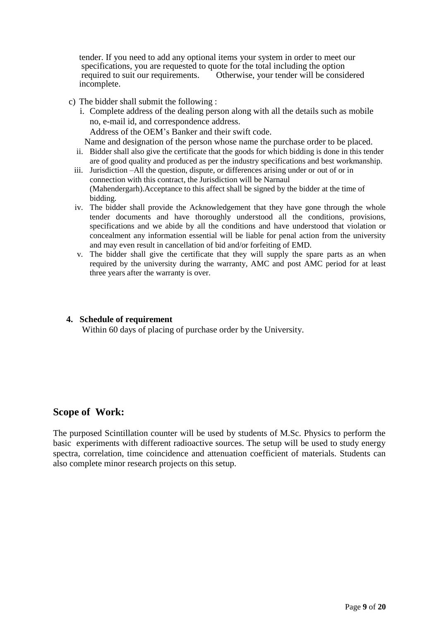tender. If you need to add any optional items your system in order to meet our specifications, you are requested to quote for the total including the option required to suit our requirements. Otherwise, your tender will be considered incomplete.

- c) The bidder shall submit the following :
	- i. Complete address of the dealing person along with all the details such as mobile no, e-mail id, and correspondence address. Address of the OEM's Banker and their swift code.

Name and designation of the person whose name the purchase order to be placed.

- ii. Bidder shall also give the certificate that the goods for which bidding is done in this tender are of good quality and produced as per the industry specifications and best workmanship.
- iii. Jurisdiction –All the question, dispute, or differences arising under or out of or in connection with this contract, the Jurisdiction will be Narnaul (Mahendergarh).Acceptance to this affect shall be signed by the bidder at the time of bidding.
- iv. The bidder shall provide the Acknowledgement that they have gone through the whole tender documents and have thoroughly understood all the conditions, provisions, specifications and we abide by all the conditions and have understood that violation or concealment any information essential will be liable for penal action from the university and may even result in cancellation of bid and/or forfeiting of EMD.
- v. The bidder shall give the certificate that they will supply the spare parts as an when required by the university during the warranty, AMC and post AMC period for at least three years after the warranty is over.

#### **4. Schedule of requirement**

Within 60 days of placing of purchase order by the University.

# **Scope of Work:**

The purposed Scintillation counter will be used by students of M.Sc. Physics to perform the basic experiments with different radioactive sources. The setup will be used to study energy spectra, correlation, time coincidence and attenuation coefficient of materials. Students can also complete minor research projects on this setup.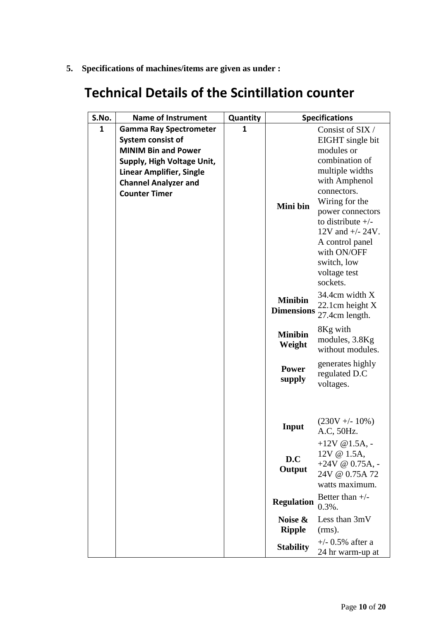**5. Specifications of machines/items are given as under :**

# **Technical Details of the Scintillation counter**

| S.No. | <b>Name of Instrument</b>       | Quantity |                   | <b>Specifications</b>                      |
|-------|---------------------------------|----------|-------------------|--------------------------------------------|
| 1     | <b>Gamma Ray Spectrometer</b>   | 1        |                   | Consist of SIX/                            |
|       | System consist of               |          |                   | EIGHT single bit                           |
|       | <b>MINIM Bin and Power</b>      |          |                   | modules or                                 |
|       | Supply, High Voltage Unit,      |          |                   | combination of                             |
|       | <b>Linear Amplifier, Single</b> |          |                   | multiple widths                            |
|       | <b>Channel Analyzer and</b>     |          |                   | with Amphenol                              |
|       | <b>Counter Timer</b>            |          |                   | connectors.                                |
|       |                                 |          | Mini bin          | Wiring for the                             |
|       |                                 |          |                   | power connectors                           |
|       |                                 |          |                   | to distribute $+/-$<br>12V and $+/- 24V$ . |
|       |                                 |          |                   | A control panel                            |
|       |                                 |          |                   | with ON/OFF                                |
|       |                                 |          |                   | switch, low                                |
|       |                                 |          |                   | voltage test                               |
|       |                                 |          |                   | sockets.                                   |
|       |                                 |          |                   | 34.4cm width X                             |
|       |                                 |          | <b>Minibin</b>    | 22.1cm height X                            |
|       |                                 |          | <b>Dimensions</b> | 27.4cm length.                             |
|       |                                 |          |                   | 8Kg with                                   |
|       |                                 |          | <b>Minibin</b>    | modules, 3.8Kg                             |
|       |                                 |          | Weight            | without modules.                           |
|       |                                 |          |                   | generates highly                           |
|       |                                 |          | <b>Power</b>      | regulated D.C                              |
|       |                                 |          | supply            | voltages.                                  |
|       |                                 |          |                   |                                            |
|       |                                 |          |                   |                                            |
|       |                                 |          |                   | $(230V + - 10\%)$                          |
|       |                                 |          | Input             | A.C, 50Hz.                                 |
|       |                                 |          |                   | $+12V \ @ 1.5A, -$                         |
|       |                                 |          |                   | 12V @ 1.5A,                                |
|       |                                 |          | D.C               | +24V @ $0.75A$ , -                         |
|       |                                 |          | Output            | 24V @ 0.75A 72                             |
|       |                                 |          |                   | watts maximum.                             |
|       |                                 |          |                   | Better than $+/-$                          |
|       |                                 |          | <b>Regulation</b> | $0.3\%$ .                                  |
|       |                                 |          | Noise &           | Less than 3mV                              |
|       |                                 |          | <b>Ripple</b>     | $(rms)$ .                                  |
|       |                                 |          |                   | $+/-$ 0.5% after a                         |
|       |                                 |          | <b>Stability</b>  | 24 hr warm-up at                           |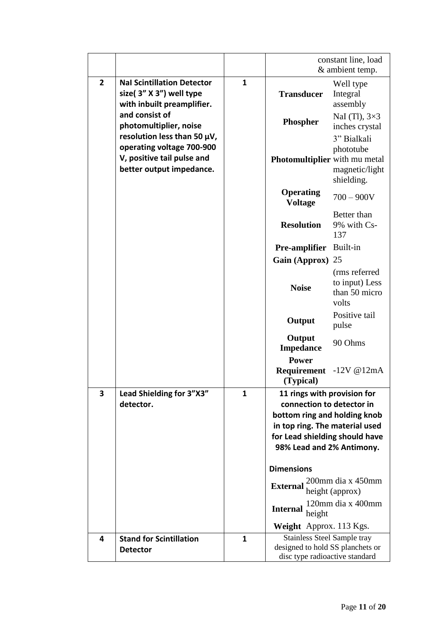|                         |                                                                                            |              |                                                                                                                                                                                           | constant line, load<br>& ambient temp.                    |
|-------------------------|--------------------------------------------------------------------------------------------|--------------|-------------------------------------------------------------------------------------------------------------------------------------------------------------------------------------------|-----------------------------------------------------------|
| $\overline{2}$          | <b>Nal Scintillation Detector</b><br>size(3" X 3") well type<br>with inbuilt preamplifier. | $\mathbf{1}$ | <b>Transducer</b>                                                                                                                                                                         | Well type<br>Integral<br>assembly                         |
|                         | and consist of<br>photomultiplier, noise<br>resolution less than 50 µV,                    |              | Phospher                                                                                                                                                                                  | NaI (Tl), $3\times3$<br>inches crystal                    |
|                         | operating voltage 700-900<br>V, positive tail pulse and<br>better output impedance.        |              | Photomultiplier with mu metal                                                                                                                                                             | 3" Bialkali<br>phototube<br>magnetic/light<br>shielding.  |
|                         |                                                                                            |              | <b>Operating</b><br><b>Voltage</b>                                                                                                                                                        | $700 - 900V$                                              |
|                         |                                                                                            |              | <b>Resolution</b>                                                                                                                                                                         | Better than<br>9% with Cs-<br>137                         |
|                         |                                                                                            |              | Pre-amplifier                                                                                                                                                                             | Built-in                                                  |
|                         |                                                                                            |              | <b>Gain (Approx)</b>                                                                                                                                                                      | 25                                                        |
|                         |                                                                                            |              | <b>Noise</b>                                                                                                                                                                              | (rms referred<br>to input) Less<br>than 50 micro<br>volts |
|                         |                                                                                            |              | Output                                                                                                                                                                                    | Positive tail<br>pulse                                    |
|                         |                                                                                            |              | Output<br><b>Impedance</b>                                                                                                                                                                | 90 Ohms                                                   |
|                         |                                                                                            |              | <b>Power</b><br>Requirement<br>(Typical)                                                                                                                                                  | $-12V@12mA$                                               |
| $\overline{\mathbf{3}}$ | Lead Shielding for 3"X3"<br>detector.                                                      | $\mathbf{1}$ | 11 rings with provision for<br>connection to detector in<br>bottom ring and holding knob<br>in top ring. The material used<br>for Lead shielding should have<br>98% Lead and 2% Antimony. |                                                           |
|                         |                                                                                            |              | <b>Dimensions</b><br><b>External</b>                                                                                                                                                      | 200mm dia x 450mm                                         |
|                         |                                                                                            |              |                                                                                                                                                                                           | height (approx)<br>120mm dia x 400mm                      |
|                         |                                                                                            |              | <b>Internal</b><br>height<br><b>Weight</b> Approx. 113 Kgs.                                                                                                                               |                                                           |
| 4                       | <b>Stand for Scintillation</b>                                                             | $\mathbf{1}$ | <b>Stainless Steel Sample tray</b>                                                                                                                                                        |                                                           |
|                         | <b>Detector</b>                                                                            |              | designed to hold SS planchets or<br>disc type radioactive standard                                                                                                                        |                                                           |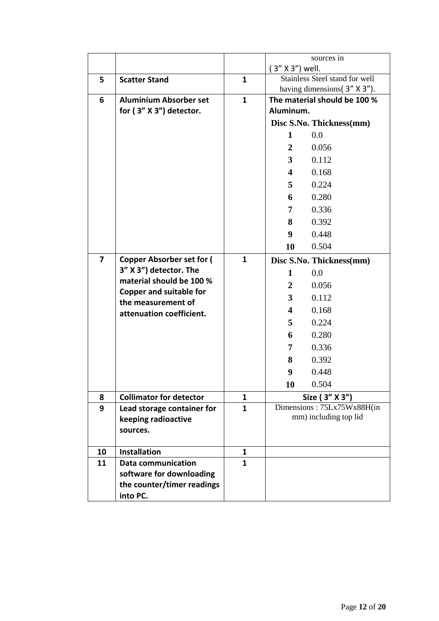|    |                                                      |              |                         | sources in                     |
|----|------------------------------------------------------|--------------|-------------------------|--------------------------------|
|    |                                                      |              | $(3'' X 3'')$ well.     |                                |
| 5. | <b>Scatter Stand</b>                                 | $\mathbf{1}$ |                         | Stainless Steel stand for well |
|    |                                                      |              |                         | having dimensions(3" X 3").    |
| 6  | <b>Aluminium Absorber set</b>                        | $\mathbf{1}$ | Aluminum.               | The material should be 100 %   |
|    | for (3" X 3") detector.                              |              |                         |                                |
|    |                                                      |              |                         | Disc S.No. Thickness(mm)       |
|    |                                                      |              | $\mathbf{1}$            | 0.0                            |
|    |                                                      |              | $\overline{2}$          | 0.056                          |
|    |                                                      |              | $3^{\circ}$             | 0.112                          |
|    |                                                      |              | 4                       | 0.168                          |
|    |                                                      |              | 5                       | 0.224                          |
|    |                                                      |              | 6                       | 0.280                          |
|    |                                                      |              | 7                       | 0.336                          |
|    |                                                      |              | 8                       | 0.392                          |
|    |                                                      |              | 9 <sup>°</sup>          | 0.448                          |
|    |                                                      |              | 10                      | 0.504                          |
| 7  | <b>Copper Absorber set for (</b>                     | $\mathbf{1}$ |                         | Disc S.No. Thickness(mm)       |
|    | 3" X 3") detector. The                               |              | 1                       | 0.0                            |
|    | material should be 100 %                             |              | $\overline{2}$          | 0.056                          |
|    | <b>Copper and suitable for</b><br>the measurement of |              | 3                       | 0.112                          |
|    | attenuation coefficient.                             |              | $\overline{\mathbf{4}}$ | 0.168                          |
|    |                                                      |              | 5                       | 0.224                          |
|    |                                                      |              | 6                       | 0.280                          |
|    |                                                      |              | 7                       | 0.336                          |
|    |                                                      |              | 8                       | 0.392                          |
|    |                                                      |              | 9                       | 0.448                          |
|    |                                                      |              | 10                      | 0.504                          |
| 8  | <b>Collimator for detector</b>                       | 1            |                         | Size (3" X 3")                 |
| 9  | Lead storage container for                           | $\mathbf{1}$ |                         | Dimensions: 75Lx75Wx88H(in     |
|    | keeping radioactive                                  |              |                         | mm) including top lid          |
|    | sources.                                             |              |                         |                                |
| 10 | <b>Installation</b>                                  | 1            |                         |                                |
| 11 | <b>Data communication</b>                            | $\mathbf{1}$ |                         |                                |
|    | software for downloading                             |              |                         |                                |
|    | the counter/timer readings                           |              |                         |                                |
|    | into PC.                                             |              |                         |                                |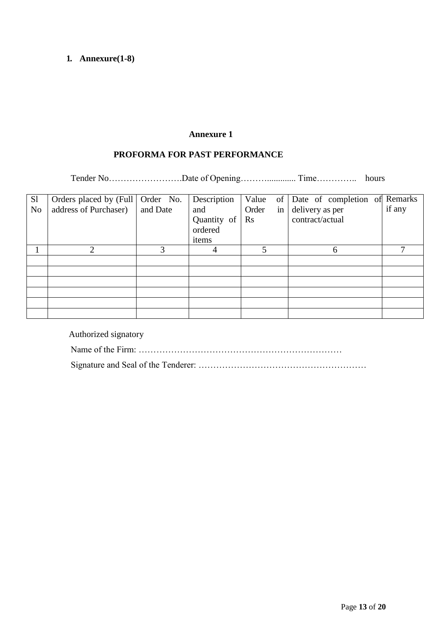# **1. Annexure(1-8)**

# **Annexure 1**

# **PROFORMA FOR PAST PERFORMANCE**

Tender No……………………………Date of Opening…………………………………………………… hours

| S <sub>1</sub><br>N <sub>o</sub> | Orders placed by (Full   Order No.<br>address of Purchaser) | and Date | Description<br>and<br>Quantity of<br>ordered<br>items | Order<br>in<br>$\rm Rs$ | Value of Date of completion of Remarks<br>delivery as per<br>contract/actual | if any |
|----------------------------------|-------------------------------------------------------------|----------|-------------------------------------------------------|-------------------------|------------------------------------------------------------------------------|--------|
|                                  | $\mathcal{D}_{\cdot}$                                       | 3        |                                                       | 5                       | 6                                                                            |        |
|                                  |                                                             |          |                                                       |                         |                                                                              |        |
|                                  |                                                             |          |                                                       |                         |                                                                              |        |
|                                  |                                                             |          |                                                       |                         |                                                                              |        |
|                                  |                                                             |          |                                                       |                         |                                                                              |        |
|                                  |                                                             |          |                                                       |                         |                                                                              |        |
|                                  |                                                             |          |                                                       |                         |                                                                              |        |

Authorized signatory Name of the Firm: …………………………………………………………… Signature and Seal of the Tenderer: …………………………………………………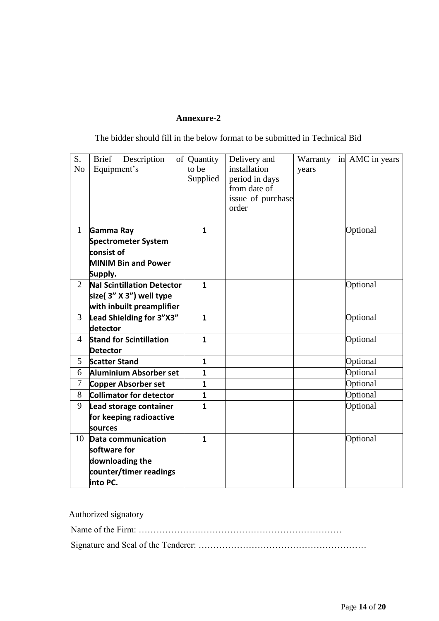# **Annexure-2**

The bidder should fill in the below format to be submitted in Technical Bid

| S.<br>N <sub>o</sub> | Description<br><b>Brief</b><br>Equipment's | of Quantity<br>to be<br>Supplied | Delivery and<br>installation<br>period in days<br>from date of<br>issue of purchase<br>order | years | Warranty in AMC in years |
|----------------------|--------------------------------------------|----------------------------------|----------------------------------------------------------------------------------------------|-------|--------------------------|
| $\mathbf{1}$         | Gamma Ray                                  | 1                                |                                                                                              |       | Optional                 |
|                      | Spectrometer System                        |                                  |                                                                                              |       |                          |
|                      | consist of                                 |                                  |                                                                                              |       |                          |
|                      | <b>MINIM Bin and Power</b>                 |                                  |                                                                                              |       |                          |
|                      | Supply.                                    |                                  |                                                                                              |       |                          |
| $\overline{2}$       | <b>Nal Scintillation Detector</b>          | $\mathbf{1}$                     |                                                                                              |       | Optional                 |
|                      | size(3" X 3") well type                    |                                  |                                                                                              |       |                          |
|                      | with inbuilt preamplifier                  |                                  |                                                                                              |       |                          |
| 3                    | Lead Shielding for 3"X3"                   | $\mathbf{1}$                     |                                                                                              |       | Optional                 |
|                      | detector                                   |                                  |                                                                                              |       |                          |
| $\overline{4}$       | <b>Stand for Scintillation</b>             | $\mathbf{1}$                     |                                                                                              |       | Optional                 |
|                      | <b>Detector</b>                            |                                  |                                                                                              |       |                          |
| 5                    | <b>Scatter Stand</b>                       | 1                                |                                                                                              |       | Optional                 |
| 6                    | Aluminium Absorber set                     | $\mathbf{1}$                     |                                                                                              |       | Optional                 |
| 7                    | Copper Absorber set                        | 1                                |                                                                                              |       | Optional                 |
| 8                    | <b>Collimator for detector</b>             | $\mathbf{1}$                     |                                                                                              |       | Optional                 |
| 9                    | Lead storage container                     | $\mathbf{1}$                     |                                                                                              |       | Optional                 |
|                      | for keeping radioactive                    |                                  |                                                                                              |       |                          |
|                      | sources                                    |                                  |                                                                                              |       |                          |
| 10                   | Data communication                         | $\mathbf{1}$                     |                                                                                              |       | Optional                 |
|                      | software for                               |                                  |                                                                                              |       |                          |
|                      | downloading the                            |                                  |                                                                                              |       |                          |
|                      | counter/timer readings                     |                                  |                                                                                              |       |                          |
|                      | into PC.                                   |                                  |                                                                                              |       |                          |

| Authorized signatory |
|----------------------|
|                      |
|                      |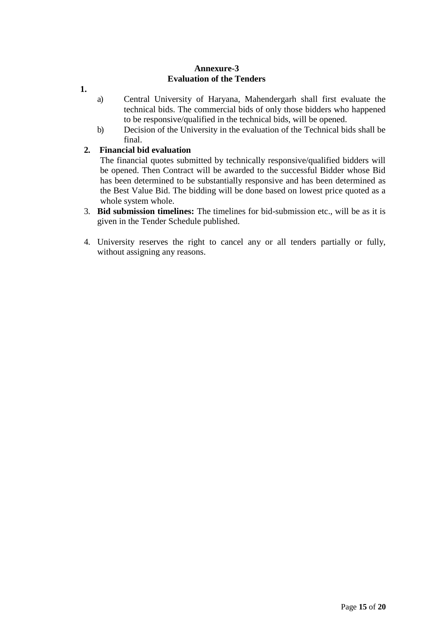### **Annexure-3 Evaluation of the Tenders**

- **1.**
- a) Central University of Haryana, Mahendergarh shall first evaluate the technical bids. The commercial bids of only those bidders who happened to be responsive/qualified in the technical bids, will be opened.
- b) Decision of the University in the evaluation of the Technical bids shall be final.

# **2. Financial bid evaluation**

The financial quotes submitted by technically responsive/qualified bidders will be opened. Then Contract will be awarded to the successful Bidder whose Bid has been determined to be substantially responsive and has been determined as the Best Value Bid. The bidding will be done based on lowest price quoted as a whole system whole.

- 3. **Bid submission timelines:** The timelines for bid-submission etc., will be as it is given in the Tender Schedule published.
- 4. University reserves the right to cancel any or all tenders partially or fully, without assigning any reasons.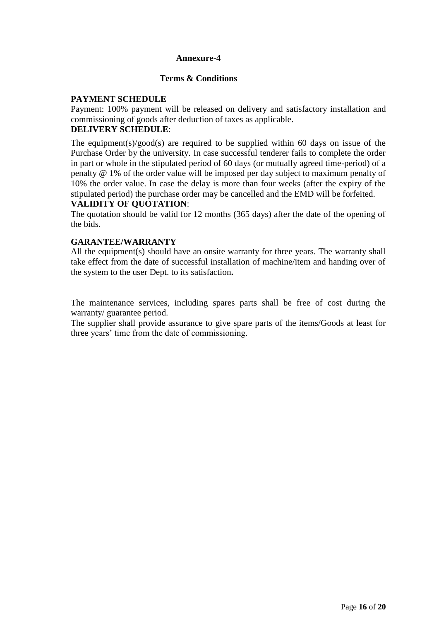#### **Annexure-4**

### **Terms & Conditions**

# **PAYMENT SCHEDULE**

Payment: 100% payment will be released on delivery and satisfactory installation and commissioning of goods after deduction of taxes as applicable.

# **DELIVERY SCHEDULE**:

The equipment(s)/good(s) are required to be supplied within 60 days on issue of the Purchase Order by the university. In case successful tenderer fails to complete the order in part or whole in the stipulated period of 60 days (or mutually agreed time-period) of a penalty @ 1% of the order value will be imposed per day subject to maximum penalty of 10% the order value. In case the delay is more than four weeks (after the expiry of the stipulated period) the purchase order may be cancelled and the EMD will be forfeited.

#### **VALIDITY OF QUOTATION**:

The quotation should be valid for 12 months (365 days) after the date of the opening of the bids.

#### **GARANTEE/WARRANTY**

All the equipment(s) should have an onsite warranty for three years. The warranty shall take effect from the date of successful installation of machine/item and handing over of the system to the user Dept. to its satisfaction**.**

The maintenance services, including spares parts shall be free of cost during the warranty/ guarantee period.

The supplier shall provide assurance to give spare parts of the items/Goods at least for three years' time from the date of commissioning.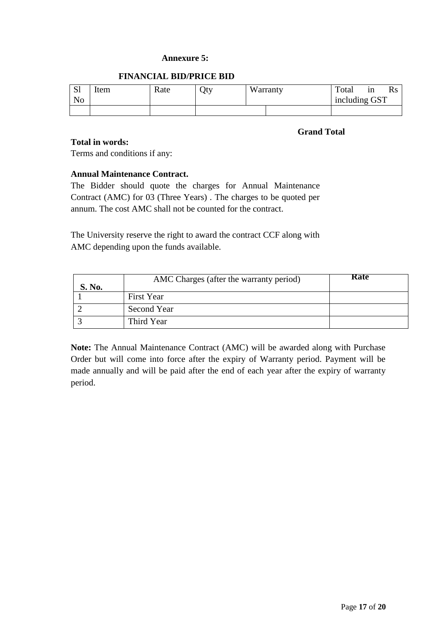#### **Annexure 5:**

#### **FINANCIAL BID/PRICE BID**

| $\mathbf{C}$ 1<br>IJΙ<br>N <sub>o</sub> | Item | Rate | Oty | Warranty | Total<br>including GST | 1n |  |
|-----------------------------------------|------|------|-----|----------|------------------------|----|--|
|                                         |      |      |     |          |                        |    |  |

#### **Grand Total**

# **Total in words:**

Terms and conditions if any:

# **Annual Maintenance Contract.**

The Bidder should quote the charges for Annual Maintenance Contract (AMC) for 03 (Three Years) . The charges to be quoted per annum. The cost AMC shall not be counted for the contract.

The University reserve the right to award the contract CCF along with AMC depending upon the funds available.

| S. No. | AMC Charges (after the warranty period) | Rate |
|--------|-----------------------------------------|------|
|        | <b>First Year</b>                       |      |
|        | Second Year                             |      |
|        | Third Year                              |      |

**Note:** The Annual Maintenance Contract (AMC) will be awarded along with Purchase Order but will come into force after the expiry of Warranty period. Payment will be made annually and will be paid after the end of each year after the expiry of warranty period.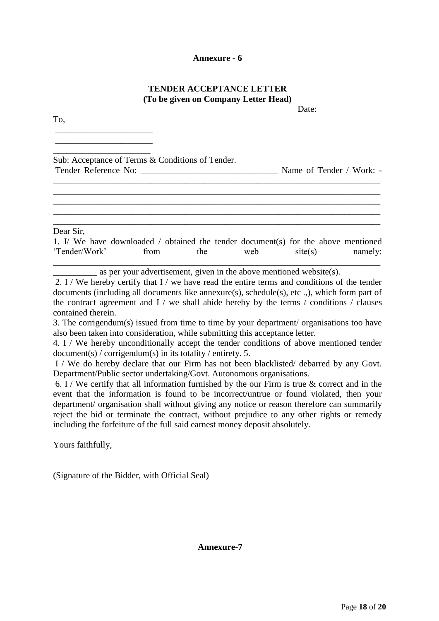#### **Annexure - 6**

# **TENDER ACCEPTANCE LETTER (To be given on Company Letter Head)**

Date:

To,

\_\_\_\_\_\_\_\_\_\_\_\_\_\_\_\_\_\_\_\_\_\_ \_\_\_\_\_\_\_\_\_\_\_\_\_\_\_\_\_\_\_\_\_\_

\_\_\_\_\_\_\_\_\_\_\_\_\_\_\_\_\_\_\_\_\_\_ Sub: Acceptance of Terms & Conditions of Tender. Tender Reference No: \_\_\_\_\_\_\_\_\_\_\_\_\_\_\_\_\_\_\_\_\_\_\_\_\_\_\_\_\_\_\_ Name of Tender / Work: - \_\_\_\_\_\_\_\_\_\_\_\_\_\_\_\_\_\_\_\_\_\_\_\_\_\_\_\_\_\_\_\_\_\_\_\_\_\_\_\_\_\_\_\_\_\_\_\_\_\_\_\_\_\_\_\_\_\_\_\_\_\_\_\_\_\_\_\_\_\_\_\_\_\_

\_\_\_\_\_\_\_\_\_\_\_\_\_\_\_\_\_\_\_\_\_\_\_\_\_\_\_\_\_\_\_\_\_\_\_\_\_\_\_\_\_\_\_\_\_\_\_\_\_\_\_\_\_\_\_\_\_\_\_\_\_\_\_\_\_\_\_\_\_\_\_\_\_\_ \_\_\_\_\_\_\_\_\_\_\_\_\_\_\_\_\_\_\_\_\_\_\_\_\_\_\_\_\_\_\_\_\_\_\_\_\_\_\_\_\_\_\_\_\_\_\_\_\_\_\_\_\_\_\_\_\_\_\_\_\_\_\_\_\_\_\_\_\_\_\_\_\_\_ \_\_\_\_\_\_\_\_\_\_\_\_\_\_\_\_\_\_\_\_\_\_\_\_\_\_\_\_\_\_\_\_\_\_\_\_\_\_\_\_\_\_\_\_\_\_\_\_\_\_\_\_\_\_\_\_\_\_\_\_\_\_\_\_\_\_\_\_\_\_\_\_\_\_ \_\_\_\_\_\_\_\_\_\_\_\_\_\_\_\_\_\_\_\_\_\_\_\_\_\_\_\_\_\_\_\_\_\_\_\_\_\_\_\_\_\_\_\_\_\_\_\_\_\_\_\_\_\_\_\_\_\_\_\_\_\_\_\_\_\_\_\_\_\_\_\_\_\_

Dear Sir,

|               |      |     | 1. I/ We have downloaded / obtained the tender document(s) for the above mentioned |         |         |
|---------------|------|-----|------------------------------------------------------------------------------------|---------|---------|
| 'Tender/Work' | from | the | web                                                                                | site(s) | namely: |
|               |      |     |                                                                                    |         |         |

 $\equiv$  as per your advertisement, given in the above mentioned website(s).

2. I / We hereby certify that I / we have read the entire terms and conditions of the tender documents (including all documents like annexure(s), schedule(s), etc .,), which form part of the contract agreement and  $I /$  we shall abide hereby by the terms  $/$  conditions  $/$  clauses contained therein.

3. The corrigendum(s) issued from time to time by your department/ organisations too have also been taken into consideration, while submitting this acceptance letter.

4. I / We hereby unconditionally accept the tender conditions of above mentioned tender document(s) / corrigendum(s) in its totality / entirety. 5.

I / We do hereby declare that our Firm has not been blacklisted/ debarred by any Govt. Department/Public sector undertaking/Govt. Autonomous organisations.

6. I / We certify that all information furnished by the our Firm is true  $\&$  correct and in the event that the information is found to be incorrect/untrue or found violated, then your department/ organisation shall without giving any notice or reason therefore can summarily reject the bid or terminate the contract, without prejudice to any other rights or remedy including the forfeiture of the full said earnest money deposit absolutely.

Yours faithfully,

(Signature of the Bidder, with Official Seal)

**Annexure-7**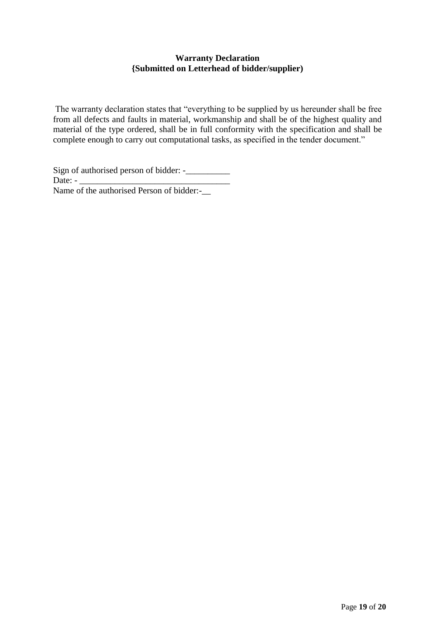# **Warranty Declaration {Submitted on Letterhead of bidder/supplier)**

The warranty declaration states that "everything to be supplied by us hereunder shall be free from all defects and faults in material, workmanship and shall be of the highest quality and material of the type ordered, shall be in full conformity with the specification and shall be complete enough to carry out computational tasks, as specified in the tender document."

Sign of authorised person of bidder: -\_\_\_\_\_\_\_\_\_\_ Date:  $-$ Name of the authorised Person of bidder:-\_\_